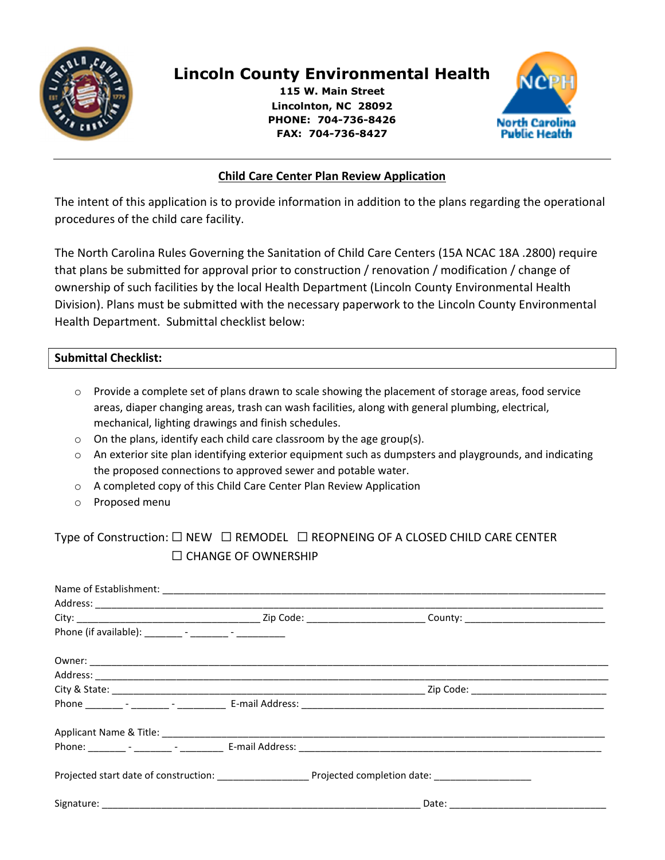

# Lincoln County Environmental Health

115 W. Main Street Lincolnton, NC 28092 PHONE: 704-736-8426 FAX: 704-736-8427



# Child Care Center Plan Review Application

The intent of this application is to provide information in addition to the plans regarding the operational procedures of the child care facility.

The North Carolina Rules Governing the Sanitation of Child Care Centers (15A NCAC 18A .2800) require that plans be submitted for approval prior to construction / renovation / modification / change of ownership of such facilities by the local Health Department (Lincoln County Environmental Health Division). Plans must be submitted with the necessary paperwork to the Lincoln County Environmental Health Department. Submittal checklist below:

# Submittal Checklist:

- o Provide a complete set of plans drawn to scale showing the placement of storage areas, food service areas, diaper changing areas, trash can wash facilities, along with general plumbing, electrical, mechanical, lighting drawings and finish schedules.
- o On the plans, identify each child care classroom by the age group(s).
- $\circ$  An exterior site plan identifying exterior equipment such as dumpsters and playgrounds, and indicating the proposed connections to approved sewer and potable water.
- o A completed copy of this Child Care Center Plan Review Application
- o Proposed menu

# Type of Construction: ☐ NEW ☐ REMODEL ☐ REOPNEING OF A CLOSED CHILD CARE CENTER ☐ CHANGE OF OWNERSHIP

| Phone (if available): _________ - ________ - ___________ |                                             |
|----------------------------------------------------------|---------------------------------------------|
|                                                          |                                             |
|                                                          |                                             |
|                                                          | _ Zip Code: _______________________________ |
|                                                          |                                             |
|                                                          |                                             |
|                                                          |                                             |
|                                                          |                                             |
|                                                          |                                             |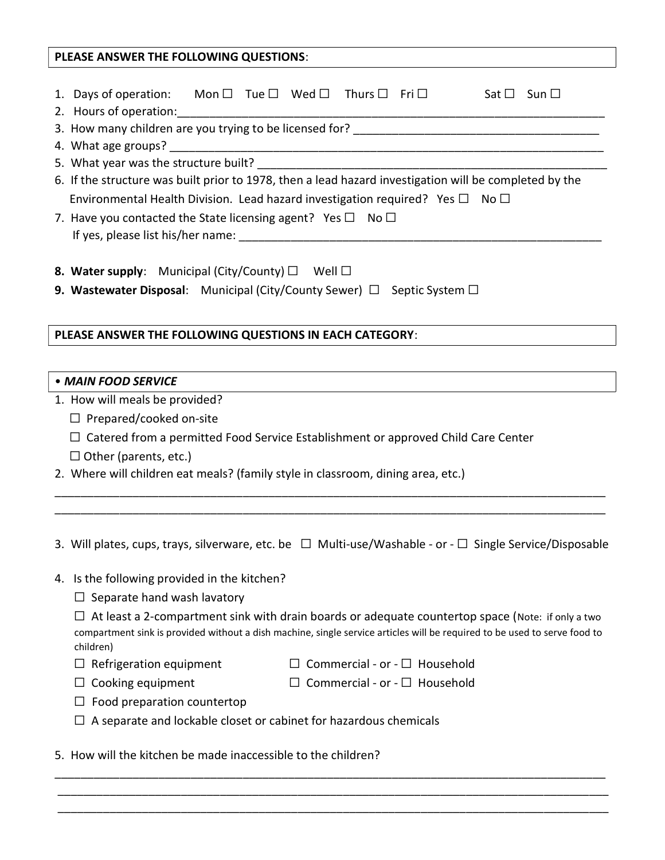# PLEASE ANSWER THE FOLLOWING QUESTIONS: 1. Days of operation: Mon  $\Box$  Tue  $\Box$  Wed  $\Box$  Thurs  $\Box$  Fri  $\Box$  Sat  $\Box$  Sun  $\Box$ 2. Hours of operation: 3. How many children are you trying to be licensed for? \_\_\_\_\_\_\_\_\_\_\_\_\_\_\_\_\_\_\_\_\_\_\_\_\_\_\_\_\_\_\_\_\_\_\_\_\_\_ 4. What age groups? 5. What year was the structure built? 6. If the structure was built prior to 1978, then a lead hazard investigation will be completed by the Environmental Health Division. Lead hazard investigation required? Yes  $\Box$  No  $\Box$ 7. Have you contacted the State licensing agent? Yes  $\Box$  No  $\Box$ If yes, please list his/her name:  $\Box$ 8. Water supply: Municipal (City/County)  $\Box$  Well  $\Box$ **9. Wastewater Disposal:** Municipal (City/County Sewer)  $\Box$  Septic System  $\Box$ PLEASE ANSWER THE FOLLOWING QUESTIONS IN EACH CATEGORY: • MAIN FOOD SERVICE 1. How will meals be provided? ☐ Prepared/cooked on-site  $\Box$  Catered from a permitted Food Service Establishment or approved Child Care Center  $\Box$  Other (parents, etc.) 2. Where will children eat meals? (family style in classroom, dining area, etc.) \_\_\_\_\_\_\_\_\_\_\_\_\_\_\_\_\_\_\_\_\_\_\_\_\_\_\_\_\_\_\_\_\_\_\_\_\_\_\_\_\_\_\_\_\_\_\_\_\_\_\_\_\_\_\_\_\_\_\_\_\_\_\_\_\_\_\_\_\_\_\_\_\_\_\_\_\_\_\_\_\_\_\_\_\_ \_\_\_\_\_\_\_\_\_\_\_\_\_\_\_\_\_\_\_\_\_\_\_\_\_\_\_\_\_\_\_\_\_\_\_\_\_\_\_\_\_\_\_\_\_\_\_\_\_\_\_\_\_\_\_\_\_\_\_\_\_\_\_\_\_\_\_\_\_\_\_\_\_\_\_\_\_\_\_\_\_\_\_\_\_ 3. Will plates, cups, trays, silverware, etc. be  $\Box$  Multi-use/Washable - or -  $\Box$  Single Service/Disposable 4. Is the following provided in the kitchen?

 $\Box$  Separate hand wash lavatory

 $\Box$  At least a 2-compartment sink with drain boards or adequate countertop space (Note: if only a two compartment sink is provided without a dish machine, single service articles will be required to be used to serve food to children)

\_\_\_\_\_\_\_\_\_\_\_\_\_\_\_\_\_\_\_\_\_\_\_\_\_\_\_\_\_\_\_\_\_\_\_\_\_\_\_\_\_\_\_\_\_\_\_\_\_\_\_\_\_\_\_\_\_\_\_\_\_\_\_\_\_\_\_\_\_\_\_\_\_\_\_\_\_\_\_\_\_\_\_\_\_ \_\_\_\_\_\_\_\_\_\_\_\_\_\_\_\_\_\_\_\_\_\_\_\_\_\_\_\_\_\_\_\_\_\_\_\_\_\_\_\_\_\_\_\_\_\_\_\_\_\_\_\_\_\_\_\_\_\_\_\_\_\_\_\_\_\_\_\_\_\_\_\_\_\_\_\_\_\_\_\_\_\_\_\_\_ \_\_\_\_\_\_\_\_\_\_\_\_\_\_\_\_\_\_\_\_\_\_\_\_\_\_\_\_\_\_\_\_\_\_\_\_\_\_\_\_\_\_\_\_\_\_\_\_\_\_\_\_\_\_\_\_\_\_\_\_\_\_\_\_\_\_\_\_\_\_\_\_\_\_\_\_\_\_\_\_\_\_\_\_\_

- ☐ Refrigeration equipment ☐ Commercial or ☐ Household
- ☐ Cooking equipment ☐ Commercial or ☐ Household
- $\Box$  Food preparation countertop
- $\Box$  A separate and lockable closet or cabinet for hazardous chemicals

5. How will the kitchen be made inaccessible to the children?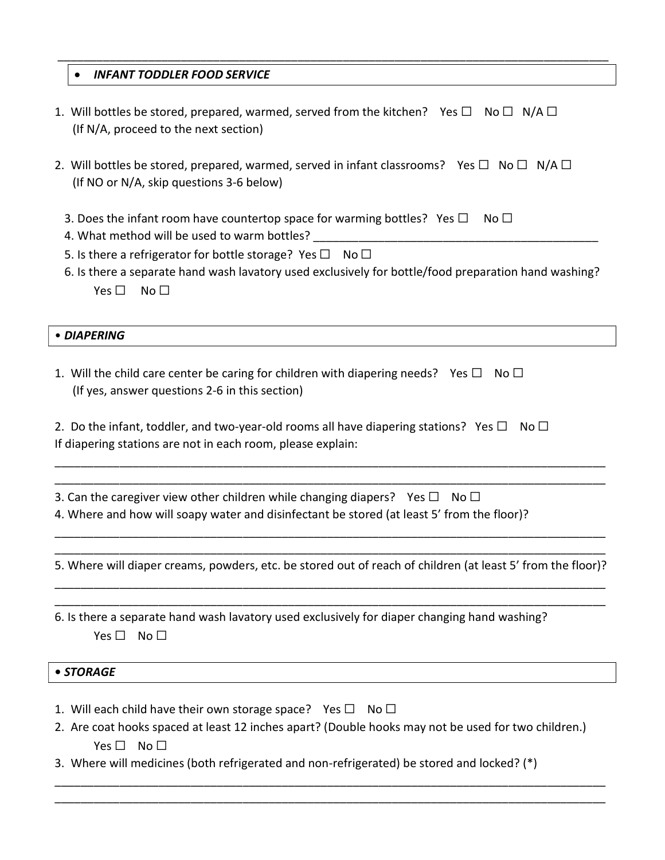## **• INFANT TODDLER FOOD SERVICE**

1. Will bottles be stored, prepared, warmed, served from the kitchen? Yes  $\square$  No  $\square$  N/A  $\square$ (If N/A, proceed to the next section)

\_\_\_\_\_\_\_\_\_\_\_\_\_\_\_\_\_\_\_\_\_\_\_\_\_\_\_\_\_\_\_\_\_\_\_\_\_\_\_\_\_\_\_\_\_\_\_\_\_\_\_\_\_\_\_\_\_\_\_\_\_\_\_\_\_\_\_\_\_\_\_\_\_\_\_\_\_\_\_\_\_\_\_\_\_

- 2. Will bottles be stored, prepared, warmed, served in infant classrooms? Yes  $\Box$  No  $\Box$  N/A  $\Box$  (If NO or N/A, skip questions 3-6 below)
	- 3. Does the infant room have countertop space for warming bottles? Yes  $\square$  No  $\square$
	- 4. What method will be used to warm bottles?
	- 5. Is there a refrigerator for bottle storage? Yes  $\Box$  No  $\Box$
	- 6. Is there a separate hand wash lavatory used exclusively for bottle/food preparation hand washing?  $Yes \Box$  No  $\Box$

#### • DIAPERING

- 1. Will the child care center be caring for children with diapering needs? Yes  $\Box$  No  $\Box$ (If yes, answer questions 2-6 in this section)
- 2. Do the infant, toddler, and two-year-old rooms all have diapering stations? Yes  $\square$  No  $\square$ If diapering stations are not in each room, please explain:
- 3. Can the caregiver view other children while changing diapers? Yes  $\Box$  No  $\Box$
- 4. Where and how will soapy water and disinfectant be stored (at least 5' from the floor)?

\_\_\_\_\_\_\_\_\_\_\_\_\_\_\_\_\_\_\_\_\_\_\_\_\_\_\_\_\_\_\_\_\_\_\_\_\_\_\_\_\_\_\_\_\_\_\_\_\_\_\_\_\_\_\_\_\_\_\_\_\_\_\_\_\_\_\_\_\_\_\_\_\_\_\_\_\_\_\_\_\_\_\_\_\_ 5. Where will diaper creams, powders, etc. be stored out of reach of children (at least 5' from the floor)? \_\_\_\_\_\_\_\_\_\_\_\_\_\_\_\_\_\_\_\_\_\_\_\_\_\_\_\_\_\_\_\_\_\_\_\_\_\_\_\_\_\_\_\_\_\_\_\_\_\_\_\_\_\_\_\_\_\_\_\_\_\_\_\_\_\_\_\_\_\_\_\_\_\_\_\_\_\_\_\_\_\_\_\_\_

\_\_\_\_\_\_\_\_\_\_\_\_\_\_\_\_\_\_\_\_\_\_\_\_\_\_\_\_\_\_\_\_\_\_\_\_\_\_\_\_\_\_\_\_\_\_\_\_\_\_\_\_\_\_\_\_\_\_\_\_\_\_\_\_\_\_\_\_\_\_\_\_\_\_\_\_\_\_\_\_\_\_\_\_\_

\_\_\_\_\_\_\_\_\_\_\_\_\_\_\_\_\_\_\_\_\_\_\_\_\_\_\_\_\_\_\_\_\_\_\_\_\_\_\_\_\_\_\_\_\_\_\_\_\_\_\_\_\_\_\_\_\_\_\_\_\_\_\_\_\_\_\_\_\_\_\_\_\_\_\_\_\_\_\_\_\_\_\_\_\_

\_\_\_\_\_\_\_\_\_\_\_\_\_\_\_\_\_\_\_\_\_\_\_\_\_\_\_\_\_\_\_\_\_\_\_\_\_\_\_\_\_\_\_\_\_\_\_\_\_\_\_\_\_\_\_\_\_\_\_\_\_\_\_\_\_\_\_\_\_\_\_\_\_\_\_\_\_\_\_\_\_\_\_\_\_ \_\_\_\_\_\_\_\_\_\_\_\_\_\_\_\_\_\_\_\_\_\_\_\_\_\_\_\_\_\_\_\_\_\_\_\_\_\_\_\_\_\_\_\_\_\_\_\_\_\_\_\_\_\_\_\_\_\_\_\_\_\_\_\_\_\_\_\_\_\_\_\_\_\_\_\_\_\_\_\_\_\_\_\_\_

6. Is there a separate hand wash lavatory used exclusively for diaper changing hand washing?  $Yes \Box No \Box$ 

#### • STORAGE

- 1. Will each child have their own storage space? Yes  $\Box$  No  $\Box$
- 2. Are coat hooks spaced at least 12 inches apart? (Double hooks may not be used for two children.) Yes □ No □

\_\_\_\_\_\_\_\_\_\_\_\_\_\_\_\_\_\_\_\_\_\_\_\_\_\_\_\_\_\_\_\_\_\_\_\_\_\_\_\_\_\_\_\_\_\_\_\_\_\_\_\_\_\_\_\_\_\_\_\_\_\_\_\_\_\_\_\_\_\_\_\_\_\_\_\_\_\_\_\_\_\_\_\_\_ \_\_\_\_\_\_\_\_\_\_\_\_\_\_\_\_\_\_\_\_\_\_\_\_\_\_\_\_\_\_\_\_\_\_\_\_\_\_\_\_\_\_\_\_\_\_\_\_\_\_\_\_\_\_\_\_\_\_\_\_\_\_\_\_\_\_\_\_\_\_\_\_\_\_\_\_\_\_\_\_\_\_\_\_\_

3. Where will medicines (both refrigerated and non-refrigerated) be stored and locked? (\*)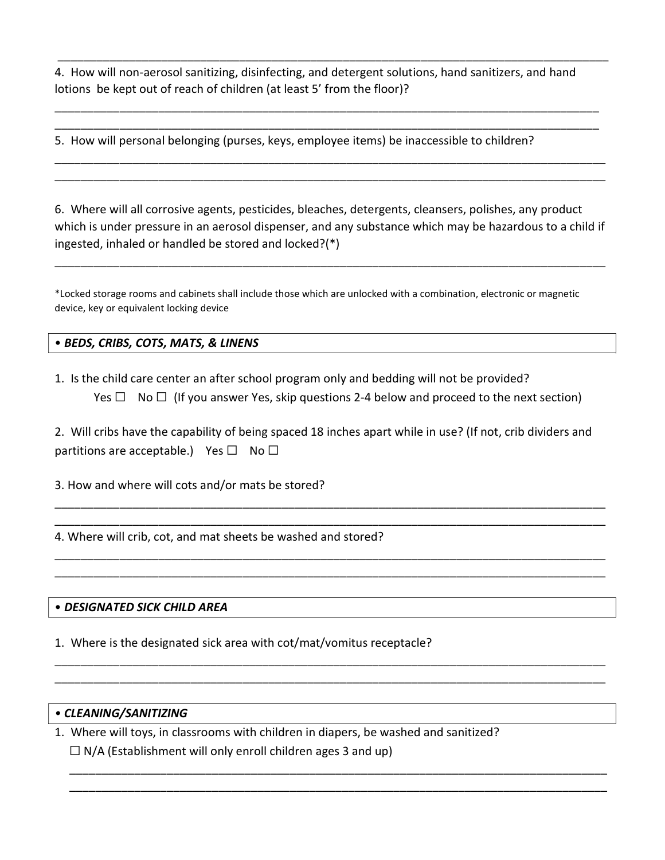4. How will non-aerosol sanitizing, disinfecting, and detergent solutions, hand sanitizers, and hand lotions be kept out of reach of children (at least 5' from the floor)?

\_\_\_\_\_\_\_\_\_\_\_\_\_\_\_\_\_\_\_\_\_\_\_\_\_\_\_\_\_\_\_\_\_\_\_\_\_\_\_\_\_\_\_\_\_\_\_\_\_\_\_\_\_\_\_\_\_\_\_\_\_\_\_\_\_\_\_\_\_\_\_\_\_\_\_\_\_\_\_\_\_\_\_\_\_

\_\_\_\_\_\_\_\_\_\_\_\_\_\_\_\_\_\_\_\_\_\_\_\_\_\_\_\_\_\_\_\_\_\_\_\_\_\_\_\_\_\_\_\_\_\_\_\_\_\_\_\_\_\_\_\_\_\_\_\_\_\_\_\_\_\_\_\_\_\_\_\_\_\_\_\_\_\_\_\_\_\_\_\_ \_\_\_\_\_\_\_\_\_\_\_\_\_\_\_\_\_\_\_\_\_\_\_\_\_\_\_\_\_\_\_\_\_\_\_\_\_\_\_\_\_\_\_\_\_\_\_\_\_\_\_\_\_\_\_\_\_\_\_\_\_\_\_\_\_\_\_\_\_\_\_\_\_\_\_\_\_\_\_\_\_\_\_\_

\_\_\_\_\_\_\_\_\_\_\_\_\_\_\_\_\_\_\_\_\_\_\_\_\_\_\_\_\_\_\_\_\_\_\_\_\_\_\_\_\_\_\_\_\_\_\_\_\_\_\_\_\_\_\_\_\_\_\_\_\_\_\_\_\_\_\_\_\_\_\_\_\_\_\_\_\_\_\_\_\_\_\_\_\_ \_\_\_\_\_\_\_\_\_\_\_\_\_\_\_\_\_\_\_\_\_\_\_\_\_\_\_\_\_\_\_\_\_\_\_\_\_\_\_\_\_\_\_\_\_\_\_\_\_\_\_\_\_\_\_\_\_\_\_\_\_\_\_\_\_\_\_\_\_\_\_\_\_\_\_\_\_\_\_\_\_\_\_\_\_

5. How will personal belonging (purses, keys, employee items) be inaccessible to children?

6. Where will all corrosive agents, pesticides, bleaches, detergents, cleansers, polishes, any product which is under pressure in an aerosol dispenser, and any substance which may be hazardous to a child if ingested, inhaled or handled be stored and locked?(\*)

\_\_\_\_\_\_\_\_\_\_\_\_\_\_\_\_\_\_\_\_\_\_\_\_\_\_\_\_\_\_\_\_\_\_\_\_\_\_\_\_\_\_\_\_\_\_\_\_\_\_\_\_\_\_\_\_\_\_\_\_\_\_\_\_\_\_\_\_\_\_\_\_\_\_\_\_\_\_\_\_\_\_\_\_\_

\*Locked storage rooms and cabinets shall include those which are unlocked with a combination, electronic or magnetic device, key or equivalent locking device

• BEDS, CRIBS, COTS, MATS, & LINENS

1. Is the child care center an after school program only and bedding will not be provided? Yes  $\Box$  No  $\Box$  (If you answer Yes, skip questions 2-4 below and proceed to the next section)

2. Will cribs have the capability of being spaced 18 inches apart while in use? (If not, crib dividers and partitions are acceptable.) Yes  $\square$  No  $\square$ 

\_\_\_\_\_\_\_\_\_\_\_\_\_\_\_\_\_\_\_\_\_\_\_\_\_\_\_\_\_\_\_\_\_\_\_\_\_\_\_\_\_\_\_\_\_\_\_\_\_\_\_\_\_\_\_\_\_\_\_\_\_\_\_\_\_\_\_\_\_\_\_\_\_\_\_\_\_\_\_\_\_\_\_\_\_ \_\_\_\_\_\_\_\_\_\_\_\_\_\_\_\_\_\_\_\_\_\_\_\_\_\_\_\_\_\_\_\_\_\_\_\_\_\_\_\_\_\_\_\_\_\_\_\_\_\_\_\_\_\_\_\_\_\_\_\_\_\_\_\_\_\_\_\_\_\_\_\_\_\_\_\_\_\_\_\_\_\_\_\_\_

\_\_\_\_\_\_\_\_\_\_\_\_\_\_\_\_\_\_\_\_\_\_\_\_\_\_\_\_\_\_\_\_\_\_\_\_\_\_\_\_\_\_\_\_\_\_\_\_\_\_\_\_\_\_\_\_\_\_\_\_\_\_\_\_\_\_\_\_\_\_\_\_\_\_\_\_\_\_\_\_\_\_\_\_\_ \_\_\_\_\_\_\_\_\_\_\_\_\_\_\_\_\_\_\_\_\_\_\_\_\_\_\_\_\_\_\_\_\_\_\_\_\_\_\_\_\_\_\_\_\_\_\_\_\_\_\_\_\_\_\_\_\_\_\_\_\_\_\_\_\_\_\_\_\_\_\_\_\_\_\_\_\_\_\_\_\_\_\_\_\_

\_\_\_\_\_\_\_\_\_\_\_\_\_\_\_\_\_\_\_\_\_\_\_\_\_\_\_\_\_\_\_\_\_\_\_\_\_\_\_\_\_\_\_\_\_\_\_\_\_\_\_\_\_\_\_\_\_\_\_\_\_\_\_\_\_\_\_\_\_\_\_\_\_\_\_\_\_\_\_\_\_\_\_\_\_ \_\_\_\_\_\_\_\_\_\_\_\_\_\_\_\_\_\_\_\_\_\_\_\_\_\_\_\_\_\_\_\_\_\_\_\_\_\_\_\_\_\_\_\_\_\_\_\_\_\_\_\_\_\_\_\_\_\_\_\_\_\_\_\_\_\_\_\_\_\_\_\_\_\_\_\_\_\_\_\_\_\_\_\_\_

\_\_\_\_\_\_\_\_\_\_\_\_\_\_\_\_\_\_\_\_\_\_\_\_\_\_\_\_\_\_\_\_\_\_\_\_\_\_\_\_\_\_\_\_\_\_\_\_\_\_\_\_\_\_\_\_\_\_\_\_\_\_\_\_\_\_\_\_\_\_\_\_\_\_\_\_\_\_\_\_\_\_\_ \_\_\_\_\_\_\_\_\_\_\_\_\_\_\_\_\_\_\_\_\_\_\_\_\_\_\_\_\_\_\_\_\_\_\_\_\_\_\_\_\_\_\_\_\_\_\_\_\_\_\_\_\_\_\_\_\_\_\_\_\_\_\_\_\_\_\_\_\_\_\_\_\_\_\_\_\_\_\_\_\_\_\_

3. How and where will cots and/or mats be stored?

4. Where will crib, cot, and mat sheets be washed and stored?

#### • DESIGNATED SICK CHILD AREA

1. Where is the designated sick area with cot/mat/vomitus receptacle?

#### • CLEANING/SANITIZING

1. Where will toys, in classrooms with children in diapers, be washed and sanitized?  $\Box$  N/A (Establishment will only enroll children ages 3 and up)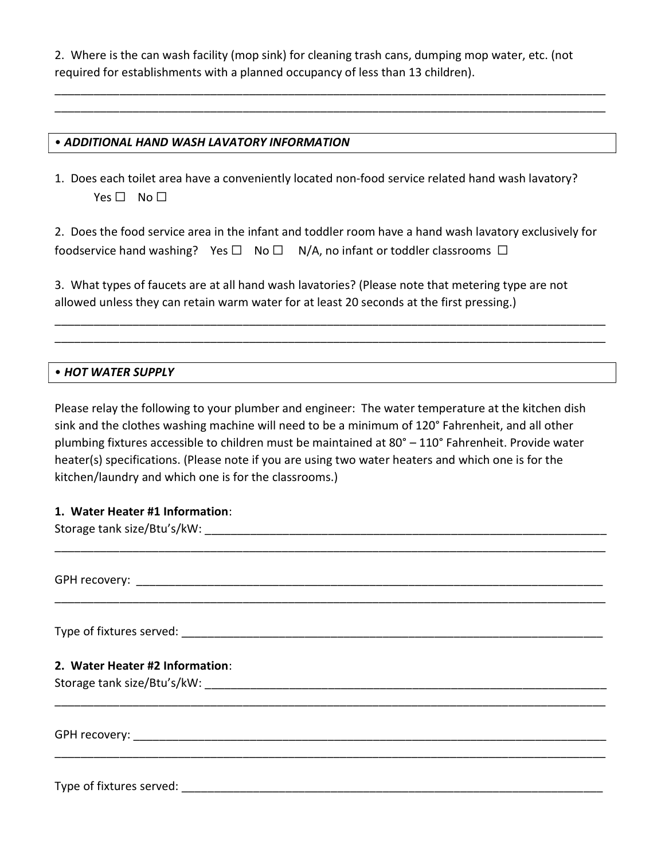2. Where is the can wash facility (mop sink) for cleaning trash cans, dumping mop water, etc. (not required for establishments with a planned occupancy of less than 13 children).

\_\_\_\_\_\_\_\_\_\_\_\_\_\_\_\_\_\_\_\_\_\_\_\_\_\_\_\_\_\_\_\_\_\_\_\_\_\_\_\_\_\_\_\_\_\_\_\_\_\_\_\_\_\_\_\_\_\_\_\_\_\_\_\_\_\_\_\_\_\_\_\_\_\_\_\_\_\_\_\_\_\_\_\_\_ \_\_\_\_\_\_\_\_\_\_\_\_\_\_\_\_\_\_\_\_\_\_\_\_\_\_\_\_\_\_\_\_\_\_\_\_\_\_\_\_\_\_\_\_\_\_\_\_\_\_\_\_\_\_\_\_\_\_\_\_\_\_\_\_\_\_\_\_\_\_\_\_\_\_\_\_\_\_\_\_\_\_\_\_\_

## • ADDITIONAL HAND WASH LAVATORY INFORMATION

1. Does each toilet area have a conveniently located non-food service related hand wash lavatory? Yes □ No □

2. Does the food service area in the infant and toddler room have a hand wash lavatory exclusively for foodservice hand washing? Yes  $\square$  No  $\square$  N/A, no infant or toddler classrooms  $\square$ 

\_\_\_\_\_\_\_\_\_\_\_\_\_\_\_\_\_\_\_\_\_\_\_\_\_\_\_\_\_\_\_\_\_\_\_\_\_\_\_\_\_\_\_\_\_\_\_\_\_\_\_\_\_\_\_\_\_\_\_\_\_\_\_\_\_\_\_\_\_\_\_\_\_\_\_\_\_\_\_\_\_\_\_\_\_ \_\_\_\_\_\_\_\_\_\_\_\_\_\_\_\_\_\_\_\_\_\_\_\_\_\_\_\_\_\_\_\_\_\_\_\_\_\_\_\_\_\_\_\_\_\_\_\_\_\_\_\_\_\_\_\_\_\_\_\_\_\_\_\_\_\_\_\_\_\_\_\_\_\_\_\_\_\_\_\_\_\_\_\_\_

3. What types of faucets are at all hand wash lavatories? (Please note that metering type are not allowed unless they can retain warm water for at least 20 seconds at the first pressing.)

#### • HOT WATER SUPPLY

Please relay the following to your plumber and engineer: The water temperature at the kitchen dish sink and the clothes washing machine will need to be a minimum of 120° Fahrenheit, and all other plumbing fixtures accessible to children must be maintained at 80° – 110° Fahrenheit. Provide water heater(s) specifications. (Please note if you are using two water heaters and which one is for the kitchen/laundry and which one is for the classrooms.)

## 1. Water Heater #1 Information:

| 2. Water Heater #2 Information: |  |
|---------------------------------|--|
|                                 |  |
|                                 |  |